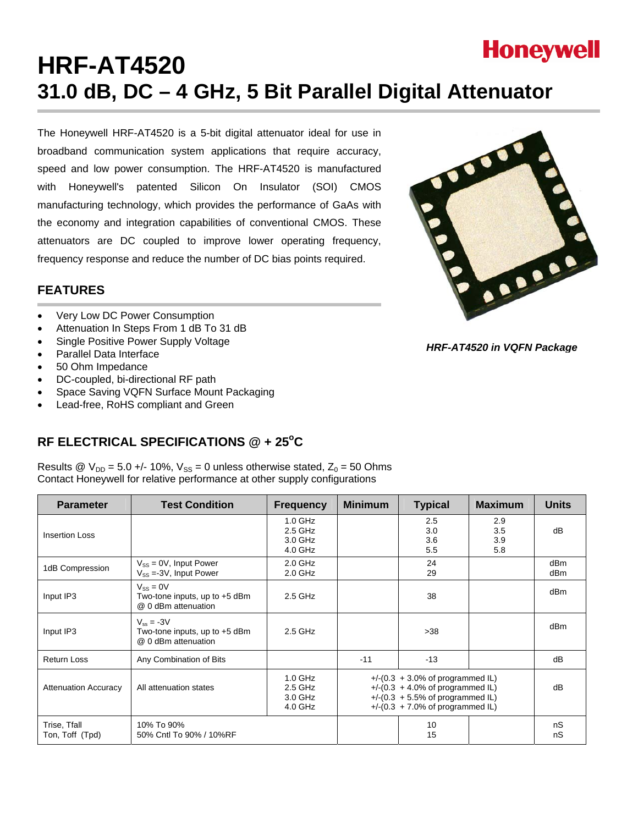

# **HRF-AT4520 31.0 dB, DC – 4 GHz, 5 Bit Parallel Digital Attenuator**

The Honeywell HRF-AT4520 is a 5-bit digital attenuator ideal for use in broadband communication system applications that require accuracy, speed and low power consumption. The HRF-AT4520 is manufactured with Honeywell's patented Silicon On Insulator (SOI) CMOS manufacturing technology, which provides the performance of GaAs with the economy and integration capabilities of conventional CMOS. These attenuators are DC coupled to improve lower operating frequency, frequency response and reduce the number of DC bias points required.

### **FEATURES**

- Very Low DC Power Consumption
- Attenuation In Steps From 1 dB To 31 dB
- Single Positive Power Supply Voltage
- Parallel Data Interface
- 50 Ohm Impedance
- DC-coupled, bi-directional RF path
- Space Saving VQFN Surface Mount Packaging
- Lead-free, RoHS compliant and Green

# RF ELECTRICAL SPECIFICATIONS @ + 25°C

Results @  $V_{DD}$  = 5.0 +/- 10%,  $V_{SS}$  = 0 unless otherwise stated,  $Z_0$  = 50 Ohms Contact Honeywell for relative performance at other supply configurations

| <b>Parameter</b>                | <b>Test Condition</b>                                                    | <b>Frequency</b>                             | <b>Minimum</b>                                                                                                                                           | <b>Typical</b>           | <b>Maximum</b>           | <b>Units</b>           |
|---------------------------------|--------------------------------------------------------------------------|----------------------------------------------|----------------------------------------------------------------------------------------------------------------------------------------------------------|--------------------------|--------------------------|------------------------|
| Insertion Loss                  |                                                                          | $1.0$ GHz<br>2.5 GHz<br>3.0 GHz<br>$4.0$ GHz |                                                                                                                                                          | 2.5<br>3.0<br>3.6<br>5.5 | 2.9<br>3.5<br>3.9<br>5.8 | dB                     |
| 1dB Compression                 | $V_{SS} = 0V$ , Input Power<br>$V_{SS} = 3V$ , Input Power               | $2.0$ GHz<br>$2.0$ GHz                       |                                                                                                                                                          | 24<br>29                 |                          | dB <sub>m</sub><br>dBm |
| Input IP3                       | $V_{SS} = 0V$<br>Two-tone inputs, up to $+5$ dBm<br>@ 0 dBm attenuation  | 2.5 GHz                                      |                                                                                                                                                          | 38                       |                          | dBm                    |
| Input IP3                       | $V_{ss} = -3V$<br>Two-tone inputs, up to $+5$ dBm<br>@ 0 dBm attenuation | 2.5 GHz                                      |                                                                                                                                                          | $>38$                    |                          | dBm                    |
| Return Loss                     | Any Combination of Bits                                                  |                                              | $-11$                                                                                                                                                    | $-13$                    |                          | dB                     |
| <b>Attenuation Accuracy</b>     | All attenuation states                                                   | $1.0$ GHz<br>2.5 GHz<br>3.0 GHz<br>$4.0$ GHz | $+$ /-(0.3 + 3.0% of programmed IL)<br>$+$ /-(0.3 + 4.0% of programmed IL)<br>$+$ /-(0.3 + 5.5% of programmed IL)<br>$+$ /-(0.3 + 7.0% of programmed IL) |                          | dB                       |                        |
| Trise, Tfall<br>Ton, Toff (Tpd) | 10% To 90%<br>50% Cntl To 90% / 10%RF                                    |                                              |                                                                                                                                                          | 10<br>15                 |                          | nS<br>nS               |



*HRF-AT4520 in VQFN Package*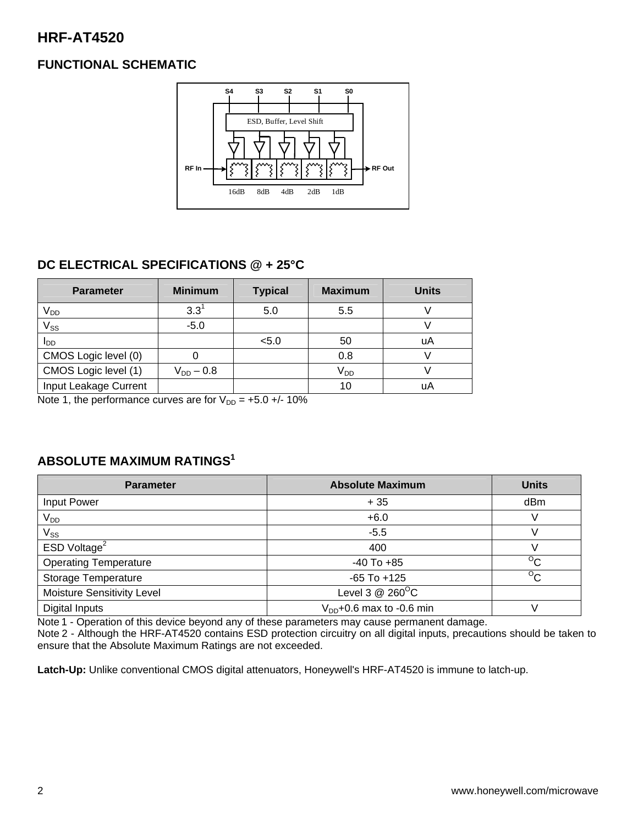# **HRF-AT4520**

# **FUNCTIONAL SCHEMATIC**



# **DC ELECTRICAL SPECIFICATIONS @ + 25°C**

| <b>Parameter</b>      | <b>Minimum</b> | <b>Typical</b> | <b>Maximum</b>  | <b>Units</b> |
|-----------------------|----------------|----------------|-----------------|--------------|
| V <sub>DD</sub>       | $3.3^{1}$      | 5.0            | 5.5             |              |
| $V_{SS}$              | $-5.0$         |                |                 |              |
| l <sub>DD</sub>       |                | < 5.0          | 50              | uA           |
| CMOS Logic level (0)  |                |                | 0.8             |              |
| CMOS Logic level (1)  | $V_{DD} - 0.8$ |                | V <sub>DD</sub> |              |
| Input Leakage Current |                |                | 10              | uA           |

Note 1, the performance curves are for  $V_{DD} = +5.0 +/- 10\%$ 

# **ABSOLUTE MAXIMUM RATINGS1**

| <b>Parameter</b>             | <b>Absolute Maximum</b>       | <b>Units</b>   |
|------------------------------|-------------------------------|----------------|
| Input Power                  | $+35$                         | dBm            |
| $V_{DD}$                     | $+6.0$                        | V              |
| $\mathsf{V}_{\mathsf{SS}}$   | $-5.5$                        |                |
| ESD Voltage <sup>2</sup>     | 400                           |                |
| <b>Operating Temperature</b> | $-40$ To $+85$                | $\rm ^{o}C$    |
| Storage Temperature          | $-65$ To $+125$               | $\overline{C}$ |
| Moisture Sensitivity Level   | Level 3 $@$ 260 $^{\circ}$ C  |                |
| Digital Inputs               | $V_{DD}$ +0.6 max to -0.6 min |                |

Note 1 - Operation of this device beyond any of these parameters may cause permanent damage.

Note 2 - Although the HRF-AT4520 contains ESD protection circuitry on all digital inputs, precautions should be taken to ensure that the Absolute Maximum Ratings are not exceeded.

**Latch-Up:** Unlike conventional CMOS digital attenuators, Honeywell's HRF-AT4520 is immune to latch-up.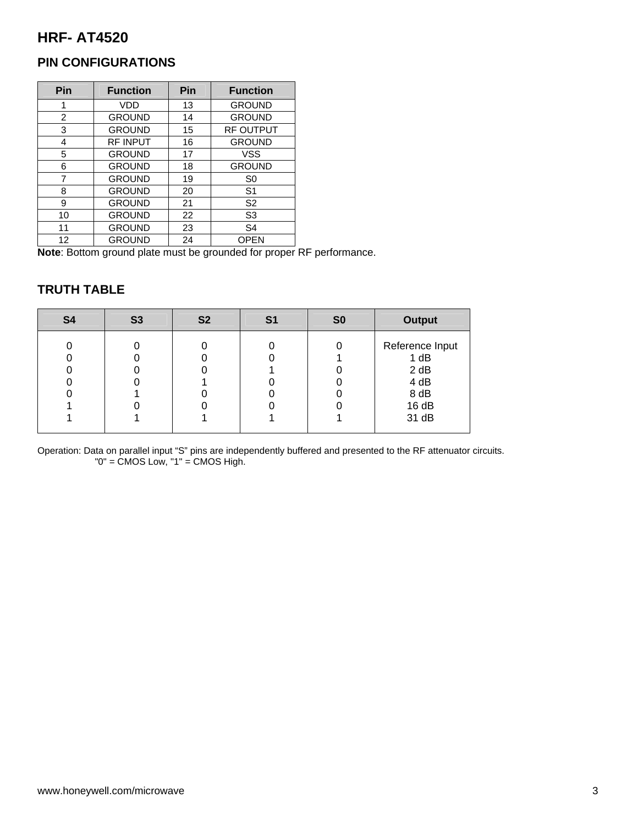# **HRF- AT4520**

# **PIN CONFIGURATIONS**

| Pin | <b>Function</b> | Pin | <b>Function</b>  |
|-----|-----------------|-----|------------------|
| 1   | <b>VDD</b>      | 13  | <b>GROUND</b>    |
| 2   | <b>GROUND</b>   | 14  | <b>GROUND</b>    |
| 3   | <b>GROUND</b>   | 15  | <b>RF OUTPUT</b> |
| 4   | <b>RF INPUT</b> | 16  | <b>GROUND</b>    |
| 5   | <b>GROUND</b>   | 17  | <b>VSS</b>       |
| 6   | <b>GROUND</b>   | 18  | <b>GROUND</b>    |
| 7   | <b>GROUND</b>   | 19  | S <sub>0</sub>   |
| 8   | <b>GROUND</b>   | 20  | S <sub>1</sub>   |
| 9   | <b>GROUND</b>   | 21  | S <sub>2</sub>   |
| 10  | <b>GROUND</b>   | 22  | S <sub>3</sub>   |
| 11  | <b>GROUND</b>   | 23  | S <sub>4</sub>   |
| 12  | <b>GROUND</b>   | 24  | <b>OPEN</b>      |

**Note**: Bottom ground plate must be grounded for proper RF performance.

# **TRUTH TABLE**

| <b>S4</b> | <b>S3</b> | <b>S2</b> | S1 | S <sub>0</sub> | <b>Output</b>                                                    |
|-----------|-----------|-----------|----|----------------|------------------------------------------------------------------|
|           |           |           |    |                | Reference Input<br>1 dB<br>2 dB<br>4 dB<br>8 dB<br>16dB<br>31 dB |

Operation: Data on parallel input "S" pins are independently buffered and presented to the RF attenuator circuits. "0" = CMOS Low, "1" = CMOS High.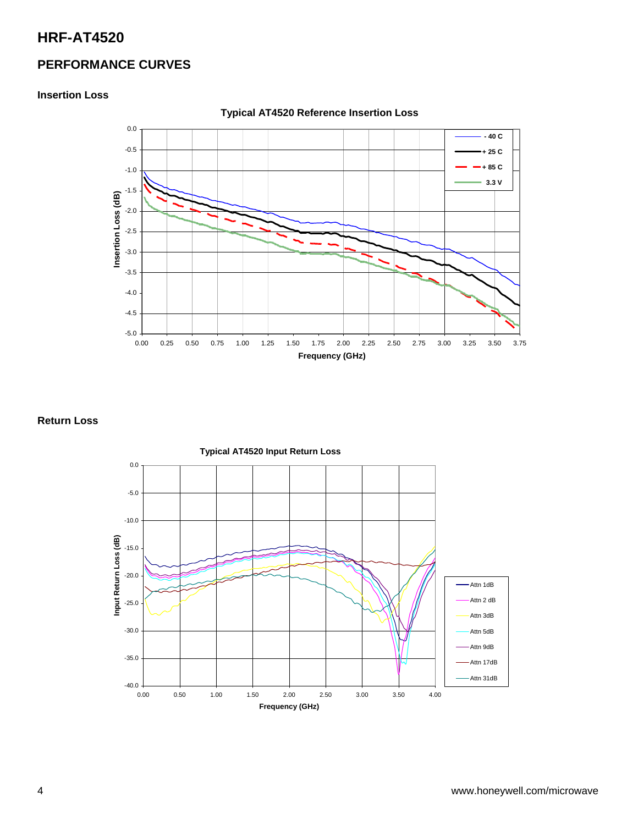# **HRF-AT4520**

### **PERFORMANCE CURVES**

#### **Insertion Loss**



**Typical AT4520 Reference Insertion Loss** 

#### **Return Loss**

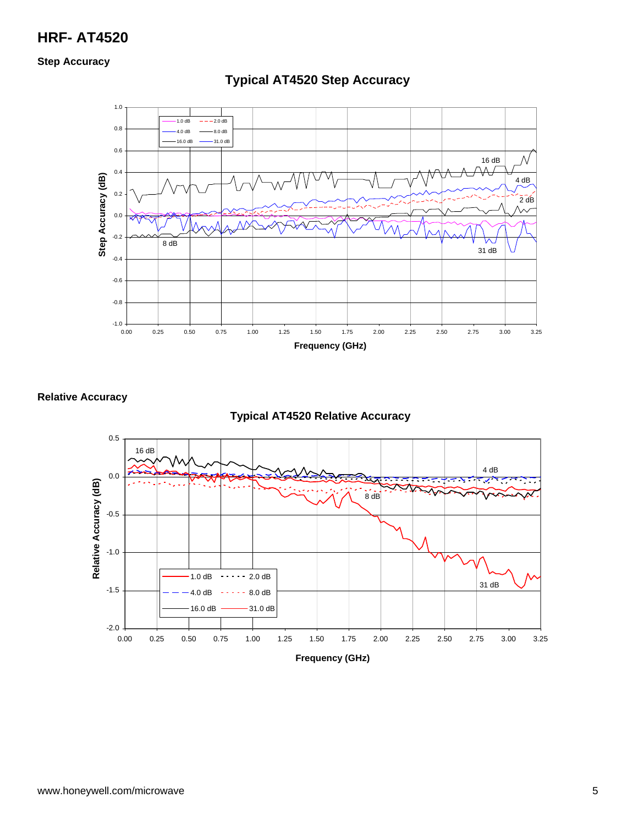# **HRF- AT4520**

#### **Step Accuracy**



# **Typical AT4520 Step Accuracy**

#### **Relative Accuracy**

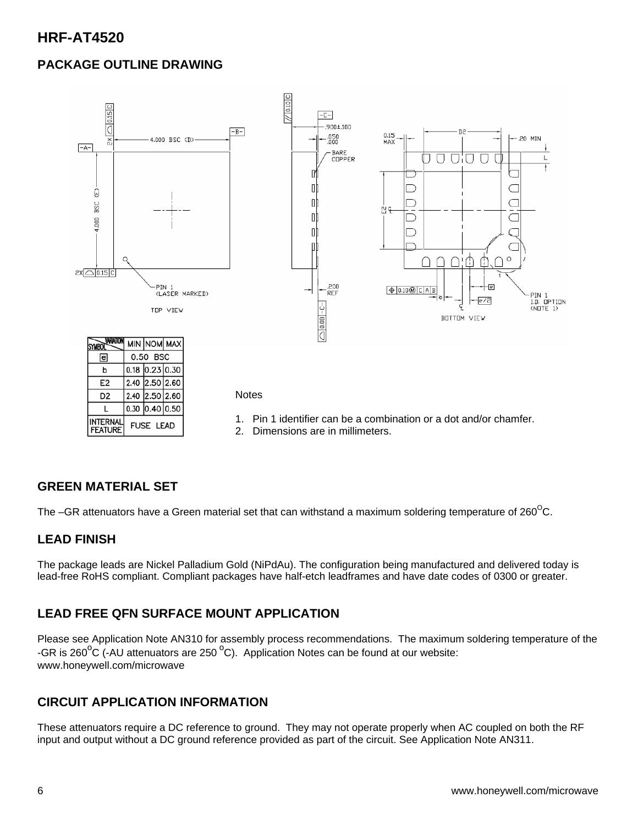# **PACKAGE OUTLINE DRAWING**



### **GREEN MATERIAL SET**

The –GR attenuators have a Green material set that can withstand a maximum soldering temperature of  $260^{\circ}$ C.

### **LEAD FINISH**

The package leads are Nickel Palladium Gold (NiPdAu). The configuration being manufactured and delivered today is lead-free RoHS compliant. Compliant packages have half-etch leadframes and have date codes of 0300 or greater.

# **LEAD FREE QFN SURFACE MOUNT APPLICATION**

Please see Application Note AN310 for assembly process recommendations. The maximum soldering temperature of the -GR is 260 $\rm{^oC}$  (-AU attenuators are 250  $\rm{^oC}$ ). Application Notes can be found at our website: www.honeywell.com/microwave

# **CIRCUIT APPLICATION INFORMATION**

These attenuators require a DC reference to ground. They may not operate properly when AC coupled on both the RF input and output without a DC ground reference provided as part of the circuit. See Application Note AN311.